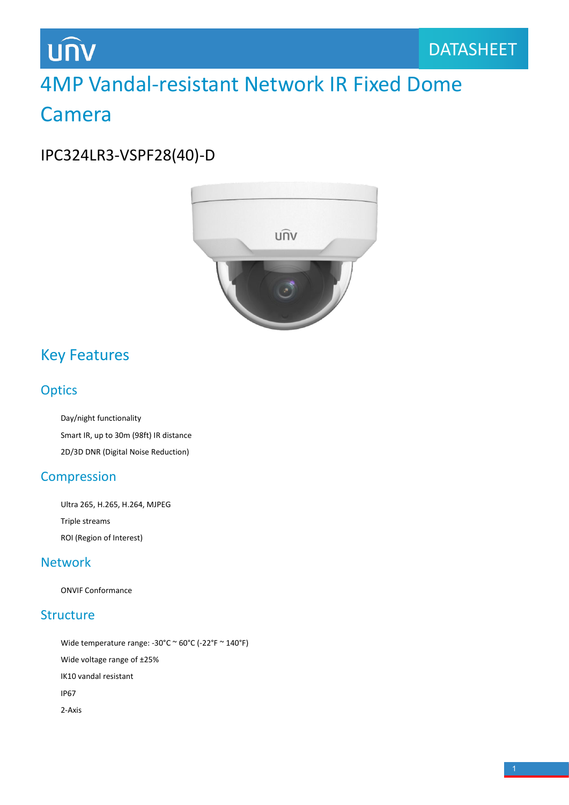## **UNV**

## 4MP Vandal-resistant Network IR Fixed Dome Camera

IPC324LR3-VSPF28(40)-D



### Key Features

### **Optics**

Day/night functionality Smart IR, up to 30m (98ft) IR distance 2D/3D DNR (Digital Noise Reduction)

### Compression

Ultra 265, H.265, H.264, MJPEG Triple streams ROI (Region of Interest)

### Network

ONVIF Conformance

### **Structure**

Wide temperature range:  $-30^{\circ}$ C ~  $60^{\circ}$ C ( $-22^{\circ}$ F ~  $140^{\circ}$ F) Wide voltage range of ±25% IK10 vandal resistant IP67 2-Axis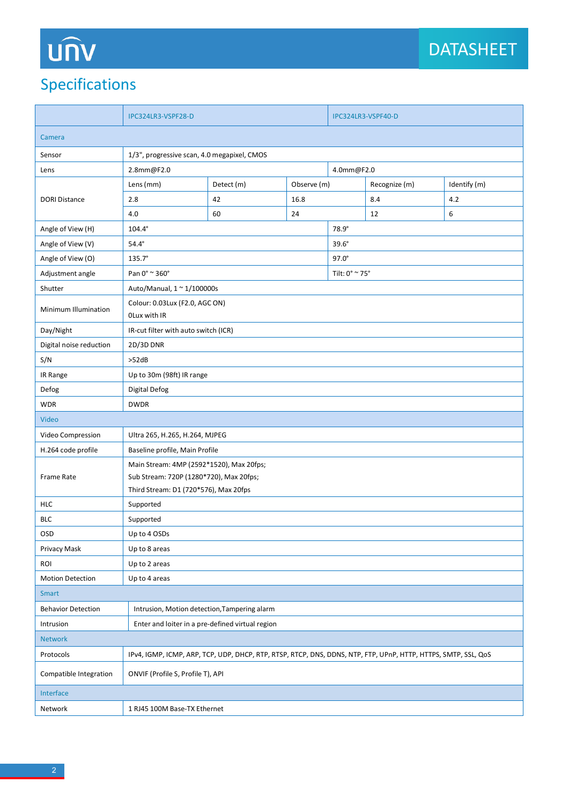# UN

## Specifications

|                           | IPC324LR3-VSPF28-D                                                                                                           |    |              | IPC324LR3-VSPF40-D                     |     |     |  |
|---------------------------|------------------------------------------------------------------------------------------------------------------------------|----|--------------|----------------------------------------|-----|-----|--|
| Camera                    |                                                                                                                              |    |              |                                        |     |     |  |
| Sensor                    | 1/3", progressive scan, 4.0 megapixel, CMOS                                                                                  |    |              |                                        |     |     |  |
| Lens                      | 4.0mm@F2.0<br>2.8mm@F2.0                                                                                                     |    |              |                                        |     |     |  |
|                           | Detect (m)<br>Lens (mm)                                                                                                      |    | Observe (m)  | Recognize (m)<br>Identify (m)          |     |     |  |
| <b>DORI Distance</b>      | 2.8                                                                                                                          | 42 | 16.8         |                                        | 8.4 | 4.2 |  |
|                           | 4.0                                                                                                                          | 60 | 24           |                                        | 12  | 6   |  |
| Angle of View (H)         | $104.4^\circ$                                                                                                                |    |              | 78.9°                                  |     |     |  |
| Angle of View (V)         | $54.4^\circ$                                                                                                                 |    | $39.6^\circ$ |                                        |     |     |  |
| Angle of View (O)         | $135.7^{\circ}$                                                                                                              |    |              | $97.0^\circ$                           |     |     |  |
| Adjustment angle          | Pan 0° ~ 360°                                                                                                                |    |              | Tilt: $0^{\circ}$ $\sim$ 75 $^{\circ}$ |     |     |  |
| Shutter                   | Auto/Manual, $1 \approx 1/100000$ s                                                                                          |    |              |                                        |     |     |  |
| Minimum Illumination      | Colour: 0.03Lux (F2.0, AGC ON)<br>OLux with IR                                                                               |    |              |                                        |     |     |  |
| Day/Night                 | IR-cut filter with auto switch (ICR)                                                                                         |    |              |                                        |     |     |  |
| Digital noise reduction   | 2D/3D DNR                                                                                                                    |    |              |                                        |     |     |  |
| S/N                       | >52dB                                                                                                                        |    |              |                                        |     |     |  |
| IR Range                  | Up to 30m (98ft) IR range                                                                                                    |    |              |                                        |     |     |  |
| Defog                     | <b>Digital Defog</b>                                                                                                         |    |              |                                        |     |     |  |
| <b>WDR</b>                | <b>DWDR</b>                                                                                                                  |    |              |                                        |     |     |  |
| Video                     |                                                                                                                              |    |              |                                        |     |     |  |
| Video Compression         | Ultra 265, H.265, H.264, MJPEG                                                                                               |    |              |                                        |     |     |  |
| H.264 code profile        | Baseline profile, Main Profile                                                                                               |    |              |                                        |     |     |  |
| <b>Frame Rate</b>         | Main Stream: 4MP (2592*1520), Max 20fps;<br>Sub Stream: 720P (1280*720), Max 20fps;<br>Third Stream: D1 (720*576), Max 20fps |    |              |                                        |     |     |  |
| <b>HLC</b>                | Supported                                                                                                                    |    |              |                                        |     |     |  |
| <b>BLC</b>                | Supported                                                                                                                    |    |              |                                        |     |     |  |
| OSD                       | Up to 4 OSDs                                                                                                                 |    |              |                                        |     |     |  |
| Privacy Mask              | Up to 8 areas                                                                                                                |    |              |                                        |     |     |  |
| ROI                       | Up to 2 areas                                                                                                                |    |              |                                        |     |     |  |
| <b>Motion Detection</b>   | Up to 4 areas                                                                                                                |    |              |                                        |     |     |  |
| <b>Smart</b>              |                                                                                                                              |    |              |                                        |     |     |  |
| <b>Behavior Detection</b> | Intrusion, Motion detection, Tampering alarm                                                                                 |    |              |                                        |     |     |  |
| Intrusion                 | Enter and loiter in a pre-defined virtual region                                                                             |    |              |                                        |     |     |  |
| Network                   |                                                                                                                              |    |              |                                        |     |     |  |
| Protocols                 | IPv4, IGMP, ICMP, ARP, TCP, UDP, DHCP, RTP, RTSP, RTCP, DNS, DDNS, NTP, FTP, UPnP, HTTP, HTTPS, SMTP, SSL, QOS               |    |              |                                        |     |     |  |
| Compatible Integration    | ONVIF (Profile S, Profile T), API                                                                                            |    |              |                                        |     |     |  |
| Interface                 |                                                                                                                              |    |              |                                        |     |     |  |
| Network                   | 1 RJ45 100M Base-TX Ethernet                                                                                                 |    |              |                                        |     |     |  |